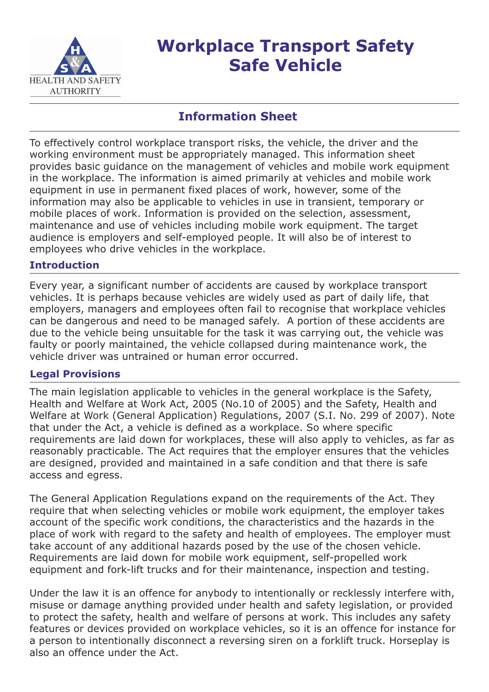

# **Workplace Transport Safety Safe Vehicle**

# **Information Sheet**

To effectively control workplace transport risks, the vehicle, the driver and the working environment must be appropriately managed. This information sheet provides basic guidance on the management of vehicles and mobile work equipment in the workplace. The information is aimed primarily at vehicles and mobile work equipment in use in permanent fixed places of work, however, some of the information may also be applicable to vehicles in use in transient, temporary or mobile places of work. Information is provided on the selection, assessment, maintenance and use of vehicles including mobile work equipment. The target audience is employers and self-employed people. It will also be of interest to employees who drive vehicles in the workplace.

## **Introduction**

Every year, a significant number of accidents are caused by workplace transport vehicles. It is perhaps because vehicles are widely used as part of daily life, that employers, managers and employees often fail to recognise that workplace vehicles can be dangerous and need to be managed safely. A portion of these accidents are due to the vehicle being unsuitable for the task it was carrying out, the vehicle was faulty or poorly maintained, the vehicle collapsed during maintenance work, the vehicle driver was untrained or human error occurred.

## **Legal Provisions**

The main legislation applicable to vehicles in the general workplace is the Safety, Health and Welfare at Work Act, 2005 (No.10 of 2005) and the Safety, Health and Welfare at Work (General Application) Regulations, 2007 (S.I. No. 299 of 2007). Note that under the Act, a vehicle is defined as a workplace. So where specific requirements are laid down for workplaces, these will also apply to vehicles, as far as reasonably practicable. The Act requires that the employer ensures that the vehicles are designed, provided and maintained in a safe condition and that there is safe access and egress.

The General Application Regulations expand on the requirements of the Act. They require that when selecting vehicles or mobile work equipment, the employer takes account of the specific work conditions, the characteristics and the hazards in the place of work with regard to the safety and health of employees. The employer must take account of any additional hazards posed by the use of the chosen vehicle. Requirements are laid down for mobile work equipment, self-propelled work equipment and fork-lift trucks and for their maintenance, inspection and testing.

Under the law it is an offence for anybody to intentionally or recklessly interfere with, misuse or damage anything provided under health and safety legislation, or provided to protect the safety, health and welfare of persons at work. This includes any safety features or devices provided on workplace vehicles, so it is an offence for instance for a person to intentionally disconnect a reversing siren on a forklift truck. Horseplay is also an offence under the Act.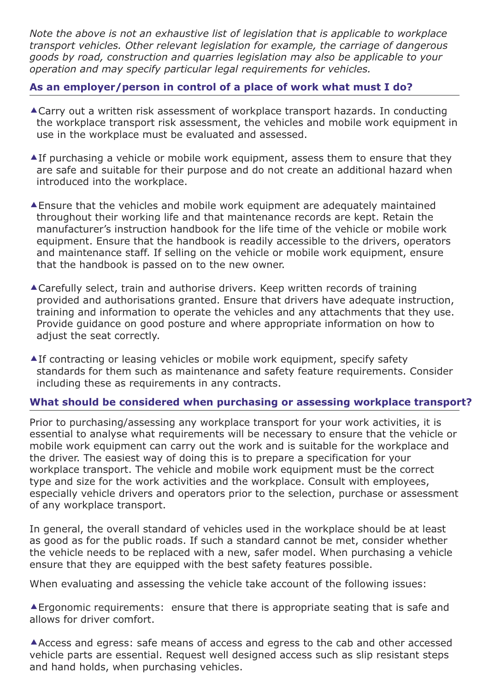*Note the above is not an exhaustive list of legislation that is applicable to workplace transport vehicles. Other relevant legislation for example, the carriage of dangerous goods by road, construction and quarries legislation may also be applicable to your operation and may specify particular legal requirements for vehicles.*

#### **As an employer/person in control of a place of work what must I do?**

- -Carry out a written risk assessment of workplace transport hazards. In conducting the workplace transport risk assessment, the vehicles and mobile work equipment in use in the workplace must be evaluated and assessed.
- -If purchasing a vehicle or mobile work equipment, assess them to ensure that they are safe and suitable for their purpose and do not create an additional hazard when introduced into the workplace.
- -Ensure that the vehicles and mobile work equipment are adequately maintained throughout their working life and that maintenance records are kept. Retain the manufacturer's instruction handbook for the life time of the vehicle or mobile work equipment. Ensure that the handbook is readily accessible to the drivers, operators and maintenance staff. If selling on the vehicle or mobile work equipment, ensure that the handbook is passed on to the new owner.
- -Carefully select, train and authorise drivers. Keep written records of training provided and authorisations granted. Ensure that drivers have adequate instruction, training and information to operate the vehicles and any attachments that they use. Provide guidance on good posture and where appropriate information on how to adjust the seat correctly.
- -If contracting or leasing vehicles or mobile work equipment, specify safety standards for them such as maintenance and safety feature requirements. Consider including these as requirements in any contracts.

#### **What should be considered when purchasing or assessing workplace transport?**

Prior to purchasing/assessing any workplace transport for your work activities, it is essential to analyse what requirements will be necessary to ensure that the vehicle or mobile work equipment can carry out the work and is suitable for the workplace and the driver. The easiest way of doing this is to prepare a specification for your workplace transport. The vehicle and mobile work equipment must be the correct type and size for the work activities and the workplace. Consult with employees, especially vehicle drivers and operators prior to the selection, purchase or assessment of any workplace transport.

In general, the overall standard of vehicles used in the workplace should be at least as good as for the public roads. If such a standard cannot be met, consider whether the vehicle needs to be replaced with a new, safer model. When purchasing a vehicle ensure that they are equipped with the best safety features possible.

When evaluating and assessing the vehicle take account of the following issues:

-Ergonomic requirements: ensure that there is appropriate seating that is safe and allows for driver comfort.

-Access and egress: safe means of access and egress to the cab and other accessed vehicle parts are essential. Request well designed access such as slip resistant steps and hand holds, when purchasing vehicles.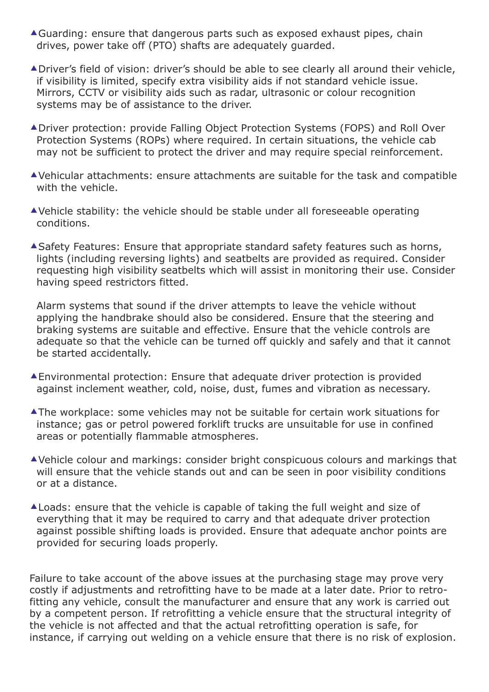- -Guarding: ensure that dangerous parts such as exposed exhaust pipes, chain drives, power take off (PTO) shafts are adequately guarded.
- -Driver's field of vision: driver's should be able to see clearly all around their vehicle, if visibility is limited, specify extra visibility aids if not standard vehicle issue. Mirrors, CCTV or visibility aids such as radar, ultrasonic or colour recognition systems may be of assistance to the driver.
- -Driver protection: provide Falling Object Protection Systems (FOPS) and Roll Over Protection Systems (ROPs) where required. In certain situations, the vehicle cab may not be sufficient to protect the driver and may require special reinforcement.
- -Vehicular attachments: ensure attachments are suitable for the task and compatible with the vehicle.
- -Vehicle stability: the vehicle should be stable under all foreseeable operating conditions.
- -Safety Features: Ensure that appropriate standard safety features such as horns, lights (including reversing lights) and seatbelts are provided as required. Consider requesting high visibility seatbelts which will assist in monitoring their use. Consider having speed restrictors fitted.

Alarm systems that sound if the driver attempts to leave the vehicle without applying the handbrake should also be considered. Ensure that the steering and braking systems are suitable and effective. Ensure that the vehicle controls are adequate so that the vehicle can be turned off quickly and safely and that it cannot be started accidentally.

- -Environmental protection: Ensure that adequate driver protection is provided against inclement weather, cold, noise, dust, fumes and vibration as necessary.
- -The workplace: some vehicles may not be suitable for certain work situations for instance; gas or petrol powered forklift trucks are unsuitable for use in confined areas or potentially flammable atmospheres.
- -Vehicle colour and markings: consider bright conspicuous colours and markings that will ensure that the vehicle stands out and can be seen in poor visibility conditions or at a distance.
- -Loads: ensure that the vehicle is capable of taking the full weight and size of everything that it may be required to carry and that adequate driver protection against possible shifting loads is provided. Ensure that adequate anchor points are provided for securing loads properly.

Failure to take account of the above issues at the purchasing stage may prove very costly if adjustments and retrofitting have to be made at a later date. Prior to retrofitting any vehicle, consult the manufacturer and ensure that any work is carried out by a competent person. If retrofitting a vehicle ensure that the structural integrity of the vehicle is not affected and that the actual retrofitting operation is safe, for instance, if carrying out welding on a vehicle ensure that there is no risk of explosion.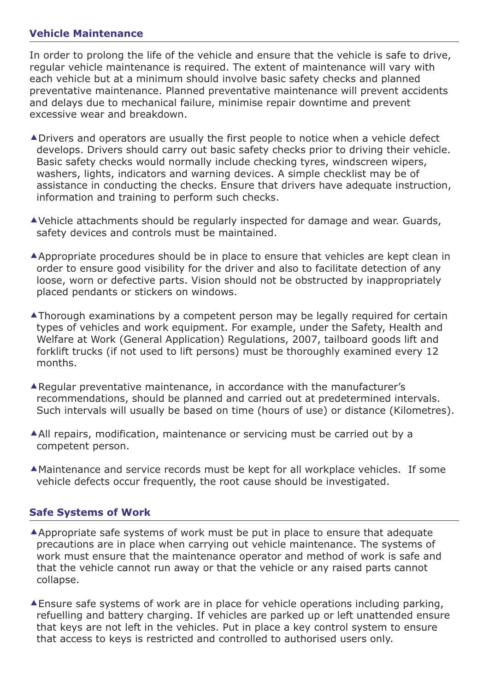#### **Vehicle Maintenance**

In order to prolong the life of the vehicle and ensure that the vehicle is safe to drive, regular vehicle maintenance is required. The extent of maintenance will vary with each vehicle but at a minimum should involve basic safety checks and planned preventative maintenance. Planned preventative maintenance will prevent accidents and delays due to mechanical failure, minimise repair downtime and prevent excessive wear and breakdown.

- -Drivers and operators are usually the first people to notice when a vehicle defect develops. Drivers should carry out basic safety checks prior to driving their vehicle. Basic safety checks would normally include checking tyres, windscreen wipers, washers, lights, indicators and warning devices. A simple checklist may be of assistance in conducting the checks. Ensure that drivers have adequate instruction, information and training to perform such checks.
- -Vehicle attachments should be regularly inspected for damage and wear. Guards, safety devices and controls must be maintained.
- -Appropriate procedures should be in place to ensure that vehicles are kept clean in order to ensure good visibility for the driver and also to facilitate detection of any loose, worn or defective parts. Vision should not be obstructed by inappropriately placed pendants or stickers on windows.
- -Thorough examinations by a competent person may be legally required for certain types of vehicles and work equipment. For example, under the Safety, Health and Welfare at Work (General Application) Regulations, 2007, tailboard goods lift and forklift trucks (if not used to lift persons) must be thoroughly examined every 12 months.
- -Regular preventative maintenance, in accordance with the manufacturer's recommendations, should be planned and carried out at predetermined intervals. Such intervals will usually be based on time (hours of use) or distance (Kilometres).
- All repairs, modification, maintenance or servicing must be carried out by a competent person.
- -Maintenance and service records must be kept for all workplace vehicles. If some vehicle defects occur frequently, the root cause should be investigated.

#### **Safe Systems of Work**

- -Appropriate safe systems of work must be put in place to ensure that adequate precautions are in place when carrying out vehicle maintenance. The systems of work must ensure that the maintenance operator and method of work is safe and that the vehicle cannot run away or that the vehicle or any raised parts cannot collapse.
- -Ensure safe systems of work are in place for vehicle operations including parking, refuelling and battery charging. If vehicles are parked up or left unattended ensure that keys are not left in the vehicles. Put in place a key control system to ensure that access to keys is restricted and controlled to authorised users only.